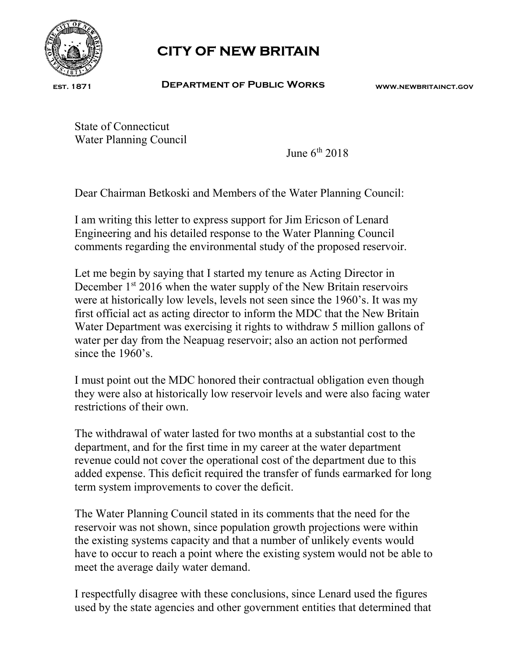

est. 1871

## CITY OF NEW BRITAIN

Department of Public Works www.newbritainct.gov

State of Connecticut Water Planning Council

June  $6<sup>th</sup>$  2018

Dear Chairman Betkoski and Members of the Water Planning Council:

I am writing this letter to express support for Jim Ericson of Lenard Engineering and his detailed response to the Water Planning Council comments regarding the environmental study of the proposed reservoir.

Let me begin by saying that I started my tenure as Acting Director in December 1<sup>st</sup> 2016 when the water supply of the New Britain reservoirs were at historically low levels, levels not seen since the 1960's. It was my first official act as acting director to inform the MDC that the New Britain Water Department was exercising it rights to withdraw 5 million gallons of water per day from the Neapuag reservoir; also an action not performed since the 1960's

I must point out the MDC honored their contractual obligation even though they were also at historically low reservoir levels and were also facing water restrictions of their own.

The withdrawal of water lasted for two months at a substantial cost to the department, and for the first time in my career at the water department revenue could not cover the operational cost of the department due to this added expense. This deficit required the transfer of funds earmarked for long term system improvements to cover the deficit.

The Water Planning Council stated in its comments that the need for the reservoir was not shown, since population growth projections were within the existing systems capacity and that a number of unlikely events would have to occur to reach a point where the existing system would not be able to meet the average daily water demand.

I respectfully disagree with these conclusions, since Lenard used the figures used by the state agencies and other government entities that determined that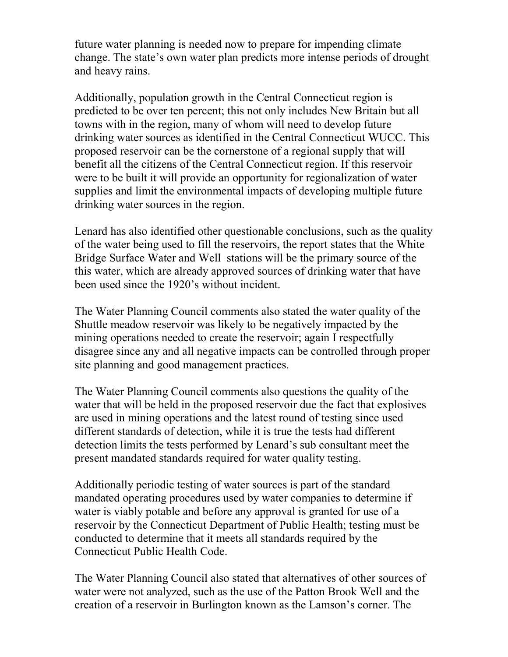future water planning is needed now to prepare for impending climate change. The state's own water plan predicts more intense periods of drought and heavy rains.

Additionally, population growth in the Central Connecticut region is predicted to be over ten percent; this not only includes New Britain but all towns with in the region, many of whom will need to develop future drinking water sources as identified in the Central Connecticut WUCC. This proposed reservoir can be the cornerstone of a regional supply that will benefit all the citizens of the Central Connecticut region. If this reservoir were to be built it will provide an opportunity for regionalization of water supplies and limit the environmental impacts of developing multiple future drinking water sources in the region.

Lenard has also identified other questionable conclusions, such as the quality of the water being used to fill the reservoirs, the report states that the White Bridge Surface Water and Well stations will be the primary source of the this water, which are already approved sources of drinking water that have been used since the 1920's without incident.

The Water Planning Council comments also stated the water quality of the Shuttle meadow reservoir was likely to be negatively impacted by the mining operations needed to create the reservoir; again I respectfully disagree since any and all negative impacts can be controlled through proper site planning and good management practices.

The Water Planning Council comments also questions the quality of the water that will be held in the proposed reservoir due the fact that explosives are used in mining operations and the latest round of testing since used different standards of detection, while it is true the tests had different detection limits the tests performed by Lenard's sub consultant meet the present mandated standards required for water quality testing.

Additionally periodic testing of water sources is part of the standard mandated operating procedures used by water companies to determine if water is viably potable and before any approval is granted for use of a reservoir by the Connecticut Department of Public Health; testing must be conducted to determine that it meets all standards required by the Connecticut Public Health Code.

The Water Planning Council also stated that alternatives of other sources of water were not analyzed, such as the use of the Patton Brook Well and the creation of a reservoir in Burlington known as the Lamson's corner. The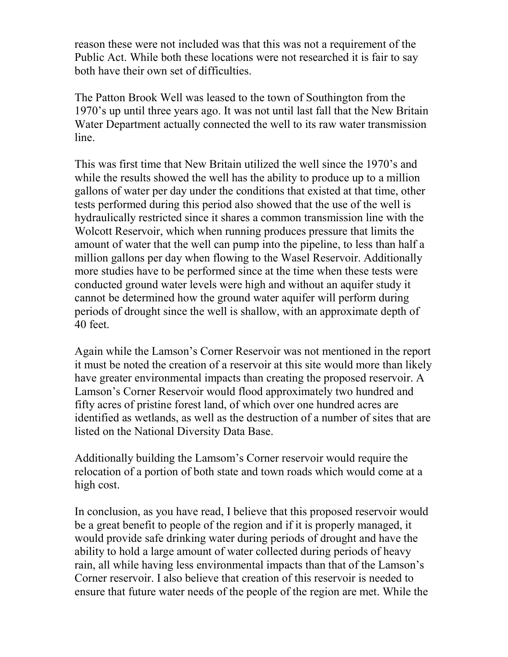reason these were not included was that this was not a requirement of the Public Act. While both these locations were not researched it is fair to say both have their own set of difficulties.

The Patton Brook Well was leased to the town of Southington from the 1970's up until three years ago. It was not until last fall that the New Britain Water Department actually connected the well to its raw water transmission line.

This was first time that New Britain utilized the well since the 1970's and while the results showed the well has the ability to produce up to a million gallons of water per day under the conditions that existed at that time, other tests performed during this period also showed that the use of the well is hydraulically restricted since it shares a common transmission line with the Wolcott Reservoir, which when running produces pressure that limits the amount of water that the well can pump into the pipeline, to less than half a million gallons per day when flowing to the Wasel Reservoir. Additionally more studies have to be performed since at the time when these tests were conducted ground water levels were high and without an aquifer study it cannot be determined how the ground water aquifer will perform during periods of drought since the well is shallow, with an approximate depth of 40 feet.

Again while the Lamson's Corner Reservoir was not mentioned in the report it must be noted the creation of a reservoir at this site would more than likely have greater environmental impacts than creating the proposed reservoir. A Lamson's Corner Reservoir would flood approximately two hundred and fifty acres of pristine forest land, of which over one hundred acres are identified as wetlands, as well as the destruction of a number of sites that are listed on the National Diversity Data Base.

Additionally building the Lamsom's Corner reservoir would require the relocation of a portion of both state and town roads which would come at a high cost.

In conclusion, as you have read, I believe that this proposed reservoir would be a great benefit to people of the region and if it is properly managed, it would provide safe drinking water during periods of drought and have the ability to hold a large amount of water collected during periods of heavy rain, all while having less environmental impacts than that of the Lamson's Corner reservoir. I also believe that creation of this reservoir is needed to ensure that future water needs of the people of the region are met. While the